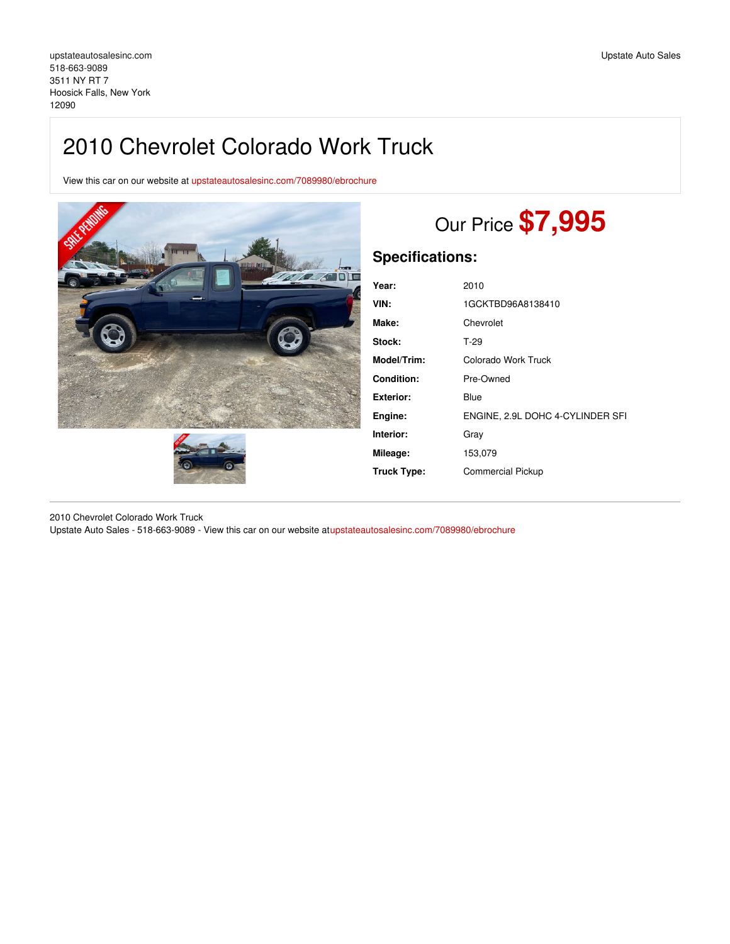# 2010 Chevrolet Colorado Work Truck

View this car on our website at [upstateautosalesinc.com/7089980/ebrochure](https://upstateautosalesinc.com/vehicle/7089980/2010-chevrolet-colorado-work-truck-hoosick-falls-new-york-12090/7089980/ebrochure)





# Our Price **\$7,995**

# **Specifications:**

| Year:             | 2010                             |
|-------------------|----------------------------------|
| VIN:              | 1GCKTBD96A8138410                |
| Make:             | Chevrolet                        |
| Stock:            | $T-29$                           |
| Model/Trim:       | Colorado Work Truck              |
| <b>Condition:</b> | Pre-Owned                        |
| Exterior:         | Blue                             |
| Engine:           | ENGINE, 2.9L DOHC 4-CYLINDER SFI |
| Interior:         | Gray                             |
| Mileage:          | 153,079                          |
| Truck Type:       | <b>Commercial Pickup</b>         |
|                   |                                  |

2010 Chevrolet Colorado Work Truck Upstate Auto Sales - 518-663-9089 - View this car on our website a[tupstateautosalesinc.com/7089980/ebrochure](https://upstateautosalesinc.com/vehicle/7089980/2010-chevrolet-colorado-work-truck-hoosick-falls-new-york-12090/7089980/ebrochure)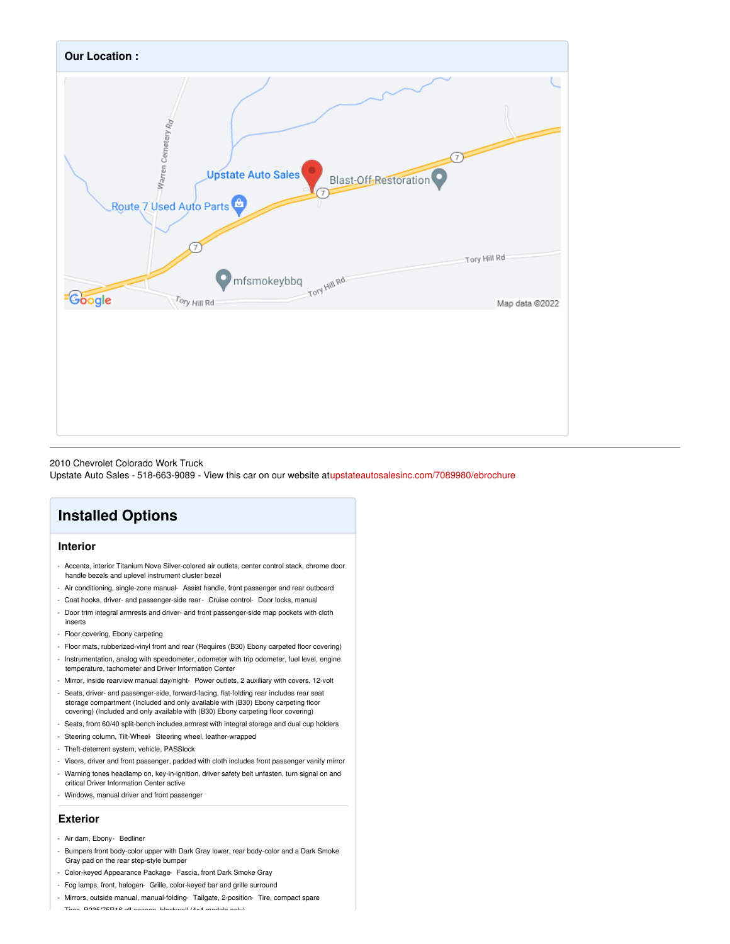

#### 2010 Chevrolet Colorado Work Truck

Upstate Auto Sales - 518-663-9089 - View this car on our website a[tupstateautosalesinc.com/7089980/ebrochure](https://upstateautosalesinc.com/vehicle/7089980/2010-chevrolet-colorado-work-truck-hoosick-falls-new-york-12090/7089980/ebrochure)

## **Installed Options**

### **Interior**

- Accents, interior Titanium Nova Silver-colored air outlets, center control stack, chrome door handle bezels and uplevel instrument cluster bezel
- Air conditioning, single-zone manual- Assist handle, front passenger and rear outboard
- Coat hooks, driver- and passenger-side rear- Cruise control- Door locks, manual
- Door trim integral armrests and driver- and front passenger-side map pockets with cloth inserts
- Floor covering, Ebony carpeting
- Floor mats, rubberized-vinyl front and rear (Requires (B30) Ebony carpeted floor covering)
- Instrumentation, analog with speedometer, odometer with trip odometer, fuel level, engine temperature, tachometer and Driver Information Center
- Mirror, inside rearview manual day/night- Power outlets, 2 auxiliary with covers, 12-volt
- Seats, driver- and passenger-side, forward-facing, flat-folding rear includes rear seat storage compartment (Included and only available with (B30) Ebony carpeting floor covering) (Included and only available with (B30) Ebony carpeting floor covering)
- Seats, front 60/40 split-bench includes armrest with integral storage and dual cup holders
- Steering column, Tilt-Wheel- Steering wheel, leather-wrapped
- Theft-deterrent system, vehicle, PASSlock
- Visors, driver and front passenger, padded with cloth includes front passenger vanity mirror
- Warning tones headlamp on, key-in-ignition, driver safety belt unfasten, turn signal on and critical Driver Information Center active
- Windows, manual driver and front passenger

#### **Exterior**

- Air dam, Ebony- Bedliner
- Bumpers front body-color upper with Dark Gray lower, rear body-color and a Dark Smoke Gray pad on the rear step-style bumper
- Color-keyed Appearance Package- Fascia, front Dark Smoke Gray
- Fog lamps, front, halogen- Grille, color-keyed bar and grille surround
- Mirrors, outside manual, manual-folding- Tailgate, 2-position- Tire, compact spare

- Tires, P235/75R16 all-season, blackwall (4x4 models only)